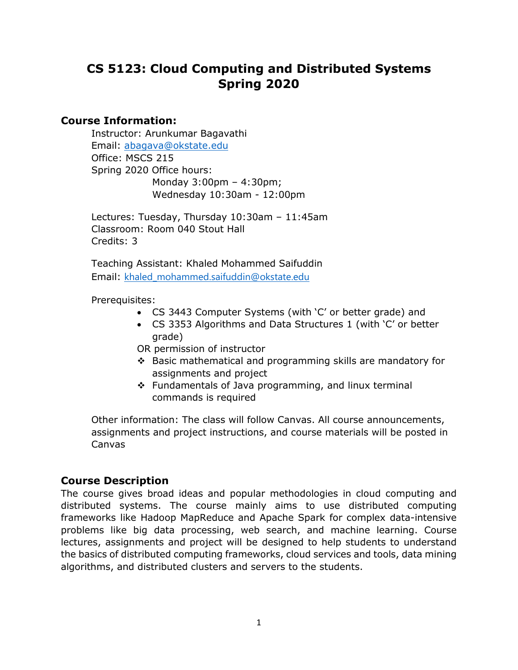# **CS 5123: Cloud Computing and Distributed Systems Spring 2020**

### **Course Information:**

Instructor: Arunkumar Bagavathi Email: [abagava@okstate.edu](mailto:abagava@okstate.edu) Office: MSCS 215 Spring 2020 Office hours: Monday 3:00pm – 4:30pm; Wednesday 10:30am - 12:00pm

Lectures: Tuesday, Thursday 10:30am – 11:45am Classroom: Room 040 Stout Hall Credits: 3

Teaching Assistant: Khaled Mohammed Saifuddin Email: [khaled\\_mohammed.saifuddin@okstate.edu](mailto:khaled_mohammed.saifuddin@okstate.edu)

#### Prerequisites:

- CS 3443 Computer Systems (with 'C' or better grade) and
- CS 3353 Algorithms and Data Structures 1 (with 'C' or better grade)

OR permission of instructor

- Basic mathematical and programming skills are mandatory for assignments and project
- ❖ Fundamentals of Java programming, and linux terminal commands is required

Other information: The class will follow Canvas. All course announcements, assignments and project instructions, and course materials will be posted in Canvas

## **Course Description**

The course gives broad ideas and popular methodologies in cloud computing and distributed systems. The course mainly aims to use distributed computing frameworks like Hadoop MapReduce and Apache Spark for complex data-intensive problems like big data processing, web search, and machine learning. Course lectures, assignments and project will be designed to help students to understand the basics of distributed computing frameworks, cloud services and tools, data mining algorithms, and distributed clusters and servers to the students.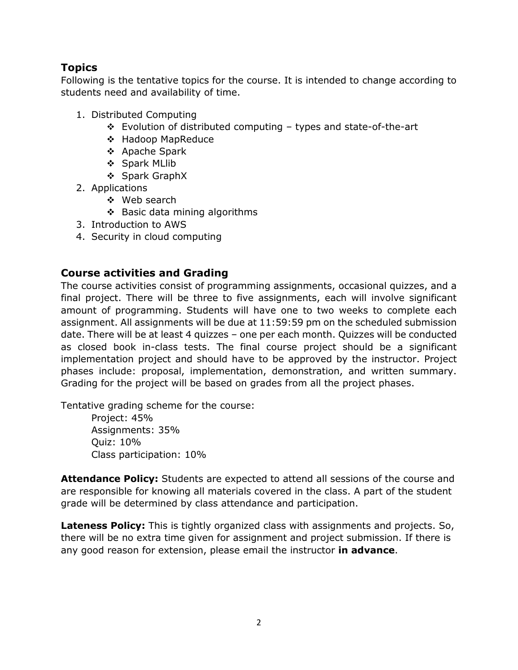## **Topics**

Following is the tentative topics for the course. It is intended to change according to students need and availability of time.

- 1. Distributed Computing
	- Evolution of distributed computing types and state-of-the-art
	- ❖ Hadoop MapReduce
	- Apache Spark
	- ❖ Spark MLlib
	- ❖ Spark GraphX
- 2. Applications
	- ❖ Web search
	- $\div$  Basic data mining algorithms
- 3. Introduction to AWS
- 4. Security in cloud computing

### **Course activities and Grading**

The course activities consist of programming assignments, occasional quizzes, and a final project. There will be three to five assignments, each will involve significant amount of programming. Students will have one to two weeks to complete each assignment. All assignments will be due at 11:59:59 pm on the scheduled submission date. There will be at least 4 quizzes – one per each month. Quizzes will be conducted as closed book in-class tests. The final course project should be a significant implementation project and should have to be approved by the instructor. Project phases include: proposal, implementation, demonstration, and written summary. Grading for the project will be based on grades from all the project phases.

Tentative grading scheme for the course:

Project: 45% Assignments: 35% Quiz: 10% Class participation: 10%

**Attendance Policy:** Students are expected to attend all sessions of the course and are responsible for knowing all materials covered in the class. A part of the student grade will be determined by class attendance and participation.

**Lateness Policy:** This is tightly organized class with assignments and projects. So, there will be no extra time given for assignment and project submission. If there is any good reason for extension, please email the instructor **in advance**.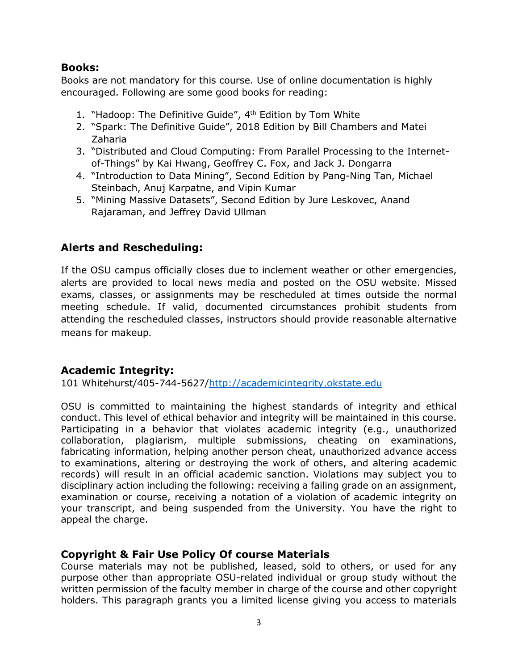### **Books:**

Books are not mandatory for this course. Use of online documentation is highly encouraged. Following are some good books for reading:

- 1. "Hadoop: The Definitive Guide", 4<sup>th</sup> Edition by Tom White
- 2. "Spark: The Definitive Guide", 2018 Edition by Bill Chambers and Matei Zaharia
- 3. "Distributed and Cloud Computing: From Parallel Processing to the Internetof-Things" by Kai Hwang, Geoffrey C. Fox, and Jack J. Dongarra
- 4. "Introduction to Data Mining", Second Edition by Pang-Ning Tan, Michael Steinbach, Anuj Karpatne, and Vipin Kumar
- 5. "Mining Massive Datasets", Second Edition by Jure Leskovec, Anand Rajaraman, and Jeffrey David Ullman

## **Alerts and Rescheduling:**

If the OSU campus officially closes due to inclement weather or other emergencies, alerts are provided to local news media and posted on the OSU website. Missed exams, classes, or assignments may be rescheduled at times outside the normal meeting schedule. If valid, documented circumstances prohibit students from attending the rescheduled classes, instructors should provide reasonable alternative means for makeup.

## **Academic Integrity:**

101 Whitehurst/405-744-5627[/http://academicintegrity.okstate.edu](http://academicintegrity.okstate.edu/)

OSU is committed to maintaining the highest standards of integrity and ethical conduct. This level of ethical behavior and integrity will be maintained in this course. Participating in a behavior that violates academic integrity (e.g., unauthorized collaboration, plagiarism, multiple submissions, cheating on examinations, fabricating information, helping another person cheat, unauthorized advance access to examinations, altering or destroying the work of others, and altering academic records) will result in an official academic sanction. Violations may subject you to disciplinary action including the following: receiving a failing grade on an assignment, examination or course, receiving a notation of a violation of academic integrity on your transcript, and being suspended from the University. You have the right to appeal the charge.

### **Copyright & Fair Use Policy Of course Materials**

Course materials may not be published, leased, sold to others, or used for any purpose other than appropriate OSU-related individual or group study without the written permission of the faculty member in charge of the course and other copyright holders. This paragraph grants you a limited license giving you access to materials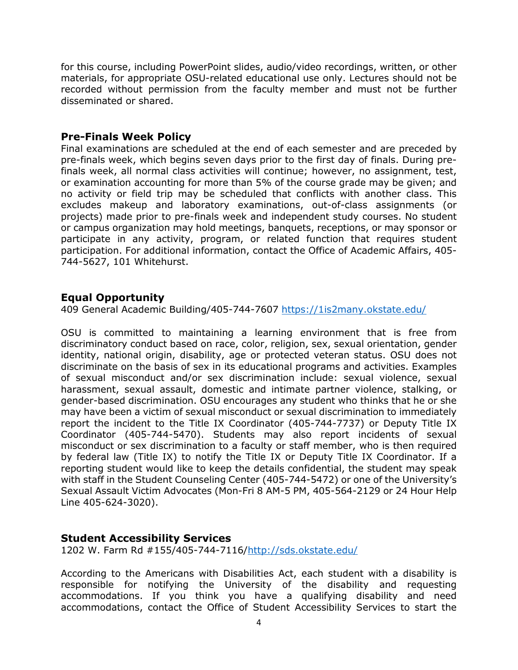for this course, including PowerPoint slides, audio/video recordings, written, or other materials, for appropriate OSU-related educational use only. Lectures should not be recorded without permission from the faculty member and must not be further disseminated or shared.

#### **Pre-Finals Week Policy**

Final examinations are scheduled at the end of each semester and are preceded by pre-finals week, which begins seven days prior to the first day of finals. During prefinals week, all normal class activities will continue; however, no assignment, test, or examination accounting for more than 5% of the course grade may be given; and no activity or field trip may be scheduled that conflicts with another class. This excludes makeup and laboratory examinations, out-of-class assignments (or projects) made prior to pre-finals week and independent study courses. No student or campus organization may hold meetings, banquets, receptions, or may sponsor or participate in any activity, program, or related function that requires student participation. For additional information, contact the Office of Academic Affairs, 405- 744-5627, 101 Whitehurst.

#### **Equal Opportunity**

409 General Academic Building/405-744-7607<https://1is2many.okstate.edu/>

OSU is committed to maintaining a learning environment that is free from discriminatory conduct based on race, color, religion, sex, sexual orientation, gender identity, national origin, disability, age or protected veteran status. OSU does not discriminate on the basis of sex in its educational programs and activities. Examples of sexual misconduct and/or sex discrimination include: sexual violence, sexual harassment, sexual assault, domestic and intimate partner violence, stalking, or gender-based discrimination. OSU encourages any student who thinks that he or she may have been a victim of sexual misconduct or sexual discrimination to immediately report the incident to the Title IX Coordinator (405-744-7737) or Deputy Title IX Coordinator (405-744-5470). Students may also report incidents of sexual misconduct or sex discrimination to a faculty or staff member, who is then required by federal law (Title IX) to notify the Title IX or Deputy Title IX Coordinator. If a reporting student would like to keep the details confidential, the student may speak with staff in the Student Counseling Center (405-744-5472) or one of the University's Sexual Assault Victim Advocates (Mon-Fri 8 AM-5 PM, 405-564-2129 or 24 Hour Help Line 405-624-3020).

### **Student Accessibility Services**

1202 W. Farm Rd #155/405-744-7116[/http://sds.okstate.edu/](http://sds.okstate.edu/)

According to the Americans with Disabilities Act, each student with a disability is responsible for notifying the University of the disability and requesting accommodations. If you think you have a qualifying disability and need accommodations, contact the Office of Student Accessibility Services to start the